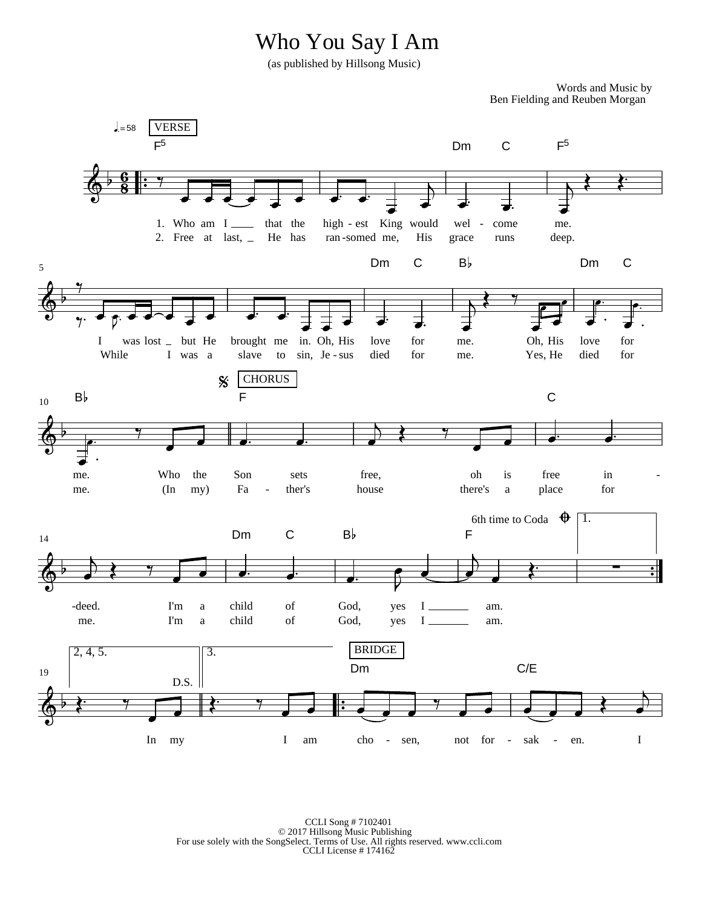## Who You Say I Am

(as published by Hillsong Music)

Words and Music by Ben Fielding and Reuben Morgan



CCLI Song # 7102401 © 2017 Hillsong Music Publishing For use solely with the SongSelect. Terms of Use. All rights reserved. www.ccli.com CCLI License # 174162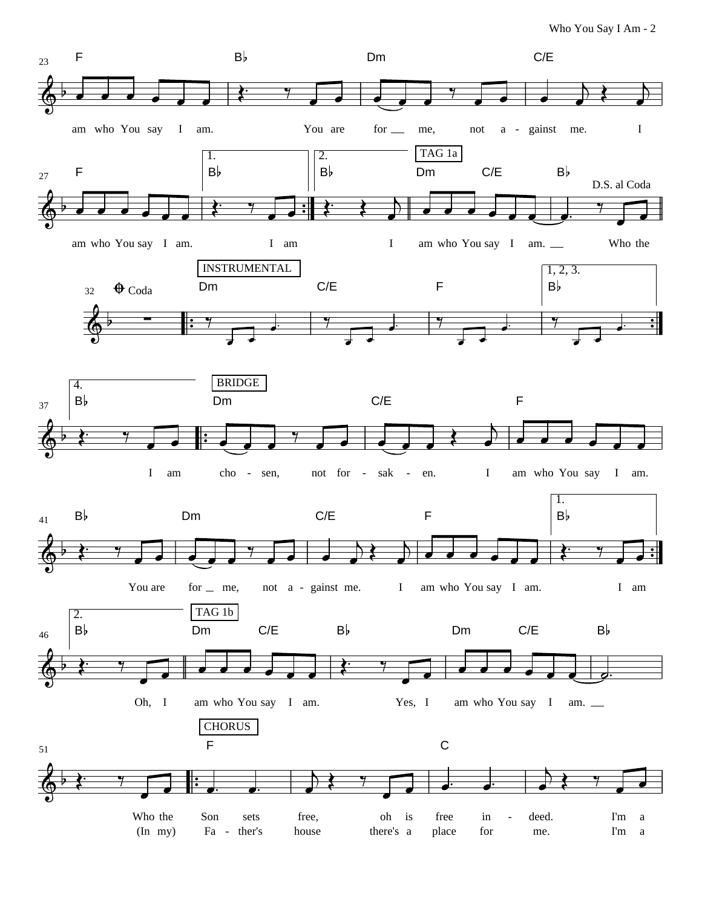